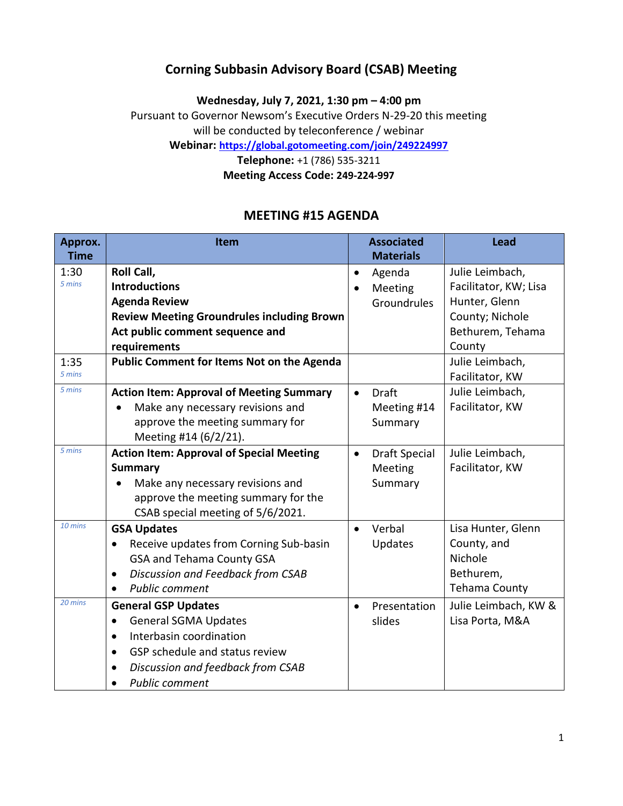## **Corning Subbasin Advisory Board (CSAB) Meeting**

**Wednesday, July 7, 2021, 1:30 pm – 4:00 pm**

Pursuant to Governor Newsom's Executive Orders N-29-20 this meeting

will be conducted by teleconference / webinar **Webinar: <https://global.gotomeeting.com/join/249224997>**

**Telephone:** +1 (786) 535-3211

**Meeting Access Code: 249-224-997**

## **MEETING #15 AGENDA**

| Approx.     | Item                                                | <b>Associated</b>                 | Lead                  |
|-------------|-----------------------------------------------------|-----------------------------------|-----------------------|
| <b>Time</b> |                                                     | <b>Materials</b>                  |                       |
| 1:30        | Roll Call,                                          | Agenda<br>$\bullet$               | Julie Leimbach,       |
| 5 mins      | <b>Introductions</b>                                | Meeting                           | Facilitator, KW; Lisa |
|             | <b>Agenda Review</b>                                | Groundrules                       | Hunter, Glenn         |
|             | <b>Review Meeting Groundrules including Brown</b>   |                                   | County; Nichole       |
|             | Act public comment sequence and                     |                                   | Bethurem, Tehama      |
|             | requirements                                        |                                   | County                |
| 1:35        | Public Comment for Items Not on the Agenda          |                                   | Julie Leimbach,       |
| 5 mins      |                                                     |                                   | Facilitator, KW       |
| 5 mins      | <b>Action Item: Approval of Meeting Summary</b>     | <b>Draft</b><br>$\bullet$         | Julie Leimbach,       |
|             | Make any necessary revisions and<br>$\bullet$       | Meeting #14                       | Facilitator, KW       |
|             | approve the meeting summary for                     | Summary                           |                       |
|             | Meeting #14 (6/2/21).                               |                                   |                       |
| 5 mins      | <b>Action Item: Approval of Special Meeting</b>     | <b>Draft Special</b><br>$\bullet$ | Julie Leimbach,       |
|             | <b>Summary</b>                                      | Meeting                           | Facilitator, KW       |
|             | Make any necessary revisions and                    | Summary                           |                       |
|             | approve the meeting summary for the                 |                                   |                       |
|             | CSAB special meeting of 5/6/2021.                   |                                   |                       |
| 10 mins     | <b>GSA Updates</b>                                  | Verbal<br>$\bullet$               | Lisa Hunter, Glenn    |
|             | Receive updates from Corning Sub-basin<br>$\bullet$ | Updates                           | County, and           |
|             | <b>GSA and Tehama County GSA</b>                    |                                   | Nichole               |
|             | Discussion and Feedback from CSAB<br>$\bullet$      |                                   | Bethurem,             |
|             | <b>Public comment</b><br>$\bullet$                  |                                   | <b>Tehama County</b>  |
| 20 mins     | <b>General GSP Updates</b>                          | Presentation<br>$\bullet$         | Julie Leimbach, KW &  |
|             | <b>General SGMA Updates</b><br>$\bullet$            | slides                            | Lisa Porta, M&A       |
|             | Interbasin coordination<br>$\bullet$                |                                   |                       |
|             | GSP schedule and status review<br>$\bullet$         |                                   |                       |
|             | Discussion and feedback from CSAB<br>$\bullet$      |                                   |                       |
|             | <b>Public comment</b>                               |                                   |                       |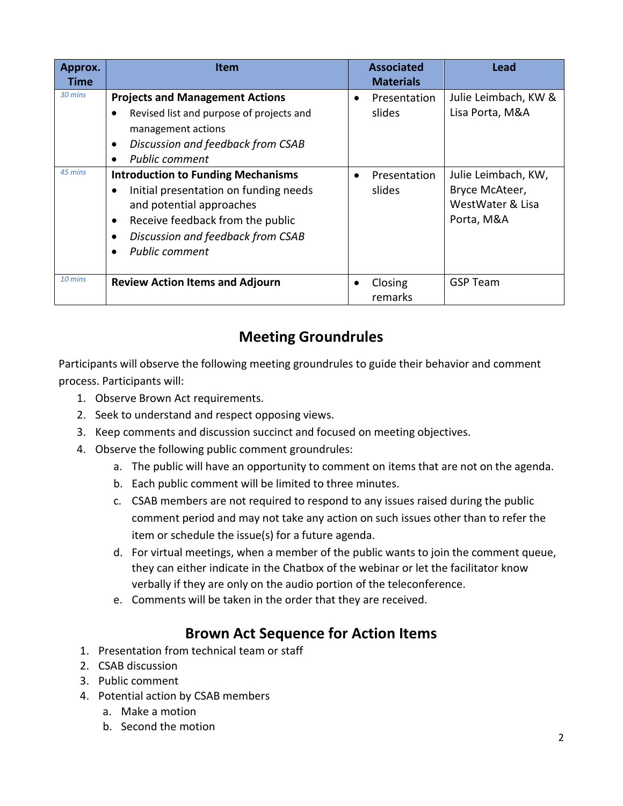| Approx.<br>Time    | Item                                                                                                                                                                                                                                                                                                                                                                                       | <b>Associated</b><br><b>Materials</b>                                      | Lead                                                                                                               |
|--------------------|--------------------------------------------------------------------------------------------------------------------------------------------------------------------------------------------------------------------------------------------------------------------------------------------------------------------------------------------------------------------------------------------|----------------------------------------------------------------------------|--------------------------------------------------------------------------------------------------------------------|
| 30 mins<br>45 mins | <b>Projects and Management Actions</b><br>Revised list and purpose of projects and<br>management actions<br>Discussion and feedback from CSAB<br><b>Public comment</b><br><b>Introduction to Funding Mechanisms</b><br>Initial presentation on funding needs<br>and potential approaches<br>Receive feedback from the public<br>Discussion and feedback from CSAB<br><b>Public comment</b> | Presentation<br>$\bullet$<br>slides<br>Presentation<br>$\bullet$<br>slides | Julie Leimbach, KW &<br>Lisa Porta, M&A<br>Julie Leimbach, KW,<br>Bryce McAteer,<br>WestWater & Lisa<br>Porta, M&A |
| 10 mins            | <b>Review Action Items and Adjourn</b>                                                                                                                                                                                                                                                                                                                                                     | Closing<br>remarks                                                         | <b>GSP Team</b>                                                                                                    |

# **Meeting Groundrules**

Participants will observe the following meeting groundrules to guide their behavior and comment process. Participants will:

- 1. Observe Brown Act requirements.
- 2. Seek to understand and respect opposing views.
- 3. Keep comments and discussion succinct and focused on meeting objectives.
- 4. Observe the following public comment groundrules:
	- a. The public will have an opportunity to comment on items that are not on the agenda.
	- b. Each public comment will be limited to three minutes.
	- c. CSAB members are not required to respond to any issues raised during the public comment period and may not take any action on such issues other than to refer the item or schedule the issue(s) for a future agenda.
	- d. For virtual meetings, when a member of the public wants to join the comment queue, they can either indicate in the Chatbox of the webinar or let the facilitator know verbally if they are only on the audio portion of the teleconference.
	- e. Comments will be taken in the order that they are received.

## **Brown Act Sequence for Action Items**

- 1. Presentation from technical team or staff
- 2. CSAB discussion
- 3. Public comment
- 4. Potential action by CSAB members
	- a. Make a motion
	- b. Second the motion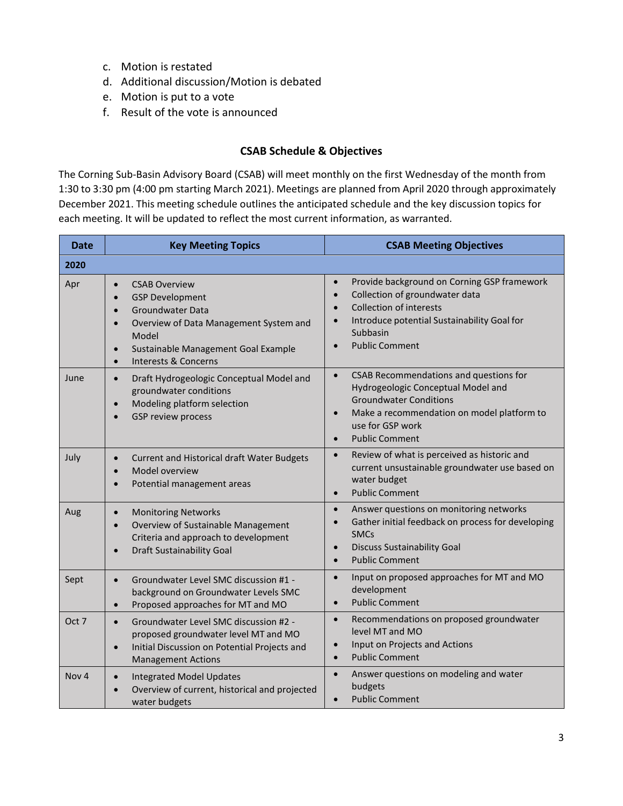- c. Motion is restated
- d. Additional discussion/Motion is debated
- e. Motion is put to a vote
- f. Result of the vote is announced

### **CSAB Schedule & Objectives**

The Corning Sub-Basin Advisory Board (CSAB) will meet monthly on the first Wednesday of the month from 1:30 to 3:30 pm (4:00 pm starting March 2021). Meetings are planned from April 2020 through approximately December 2021. This meeting schedule outlines the anticipated schedule and the key discussion topics for each meeting. It will be updated to reflect the most current information, as warranted.

| <b>Date</b>      | <b>Key Meeting Topics</b>                                                                                                                                                                                                                                                            | <b>CSAB Meeting Objectives</b>                                                                                                                                                                                                                                       |  |
|------------------|--------------------------------------------------------------------------------------------------------------------------------------------------------------------------------------------------------------------------------------------------------------------------------------|----------------------------------------------------------------------------------------------------------------------------------------------------------------------------------------------------------------------------------------------------------------------|--|
| 2020             |                                                                                                                                                                                                                                                                                      |                                                                                                                                                                                                                                                                      |  |
| Apr              | <b>CSAB Overview</b><br>$\bullet$<br><b>GSP Development</b><br>$\bullet$<br><b>Groundwater Data</b><br>$\bullet$<br>Overview of Data Management System and<br>$\bullet$<br>Model<br>Sustainable Management Goal Example<br>$\bullet$<br><b>Interests &amp; Concerns</b><br>$\bullet$ | Provide background on Corning GSP framework<br>$\bullet$<br>Collection of groundwater data<br>$\bullet$<br><b>Collection of interests</b><br>$\bullet$<br>Introduce potential Sustainability Goal for<br>$\bullet$<br>Subbasin<br><b>Public Comment</b><br>$\bullet$ |  |
| June             | Draft Hydrogeologic Conceptual Model and<br>$\bullet$<br>groundwater conditions<br>Modeling platform selection<br>$\bullet$<br><b>GSP review process</b>                                                                                                                             | CSAB Recommendations and questions for<br>$\bullet$<br>Hydrogeologic Conceptual Model and<br><b>Groundwater Conditions</b><br>Make a recommendation on model platform to<br>$\bullet$<br>use for GSP work<br><b>Public Comment</b><br>$\bullet$                      |  |
| July             | <b>Current and Historical draft Water Budgets</b><br>$\bullet$<br>Model overview<br>Potential management areas                                                                                                                                                                       | Review of what is perceived as historic and<br>$\bullet$<br>current unsustainable groundwater use based on<br>water budget<br><b>Public Comment</b><br>$\bullet$                                                                                                     |  |
| Aug              | <b>Monitoring Networks</b><br>$\bullet$<br>Overview of Sustainable Management<br>$\bullet$<br>Criteria and approach to development<br><b>Draft Sustainability Goal</b>                                                                                                               | Answer questions on monitoring networks<br>$\bullet$<br>Gather initial feedback on process for developing<br>$\bullet$<br><b>SMCs</b><br><b>Discuss Sustainability Goal</b><br>$\bullet$<br><b>Public Comment</b><br>$\bullet$                                       |  |
| Sept             | Groundwater Level SMC discussion #1 -<br>$\bullet$<br>background on Groundwater Levels SMC<br>Proposed approaches for MT and MO<br>$\bullet$                                                                                                                                         | Input on proposed approaches for MT and MO<br>$\bullet$<br>development<br><b>Public Comment</b><br>$\bullet$                                                                                                                                                         |  |
| Oct 7            | Groundwater Level SMC discussion #2 -<br>$\bullet$<br>proposed groundwater level MT and MO<br>Initial Discussion on Potential Projects and<br><b>Management Actions</b>                                                                                                              | Recommendations on proposed groundwater<br>$\bullet$<br>level MT and MO<br>Input on Projects and Actions<br>$\bullet$<br><b>Public Comment</b><br>$\bullet$                                                                                                          |  |
| Nov <sub>4</sub> | <b>Integrated Model Updates</b><br>$\bullet$<br>Overview of current, historical and projected<br>water budgets                                                                                                                                                                       | Answer questions on modeling and water<br>$\bullet$<br>budgets<br><b>Public Comment</b><br>$\bullet$                                                                                                                                                                 |  |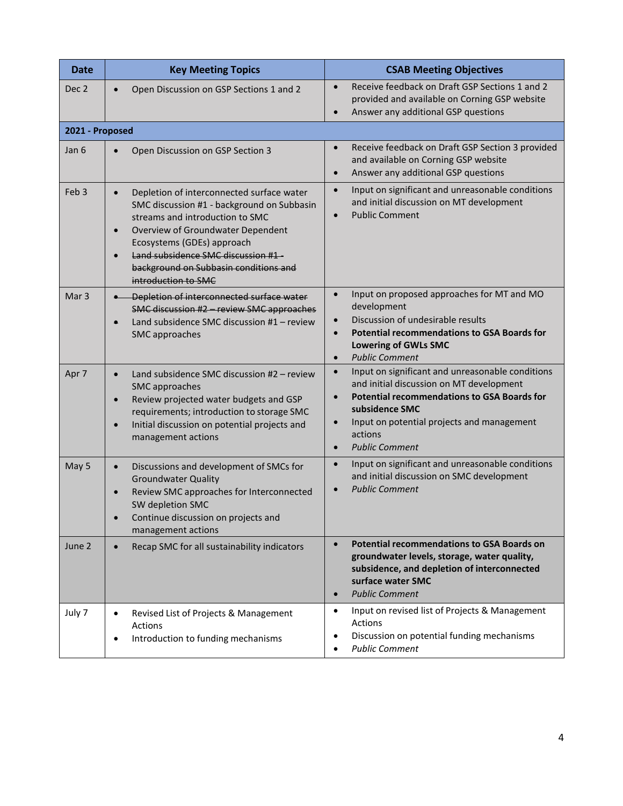| <b>Date</b>      | <b>Key Meeting Topics</b>                                                                                                                                                                                                                                                                                                                  | <b>CSAB Meeting Objectives</b>                                                                                                                                                                                                                                                                |
|------------------|--------------------------------------------------------------------------------------------------------------------------------------------------------------------------------------------------------------------------------------------------------------------------------------------------------------------------------------------|-----------------------------------------------------------------------------------------------------------------------------------------------------------------------------------------------------------------------------------------------------------------------------------------------|
| Dec <sub>2</sub> | Open Discussion on GSP Sections 1 and 2<br>$\bullet$                                                                                                                                                                                                                                                                                       | Receive feedback on Draft GSP Sections 1 and 2<br>$\bullet$<br>provided and available on Corning GSP website<br>Answer any additional GSP questions<br>$\bullet$                                                                                                                              |
| 2021 - Proposed  |                                                                                                                                                                                                                                                                                                                                            |                                                                                                                                                                                                                                                                                               |
| Jan 6            | Open Discussion on GSP Section 3<br>$\bullet$                                                                                                                                                                                                                                                                                              | Receive feedback on Draft GSP Section 3 provided<br>$\bullet$<br>and available on Corning GSP website<br>Answer any additional GSP questions<br>$\bullet$                                                                                                                                     |
| Feb <sub>3</sub> | Depletion of interconnected surface water<br>$\bullet$<br>SMC discussion #1 - background on Subbasin<br>streams and introduction to SMC<br>Overview of Groundwater Dependent<br>$\bullet$<br>Ecosystems (GDEs) approach<br>Land subsidence SMC discussion #1-<br>$\bullet$<br>background on Subbasin conditions and<br>introduction to SMC | Input on significant and unreasonable conditions<br>$\bullet$<br>and initial discussion on MT development<br><b>Public Comment</b><br>$\bullet$                                                                                                                                               |
| Mar <sub>3</sub> | Depletion of interconnected surface water<br>SMC discussion #2 - review SMC approaches<br>Land subsidence SMC discussion #1 - review<br>$\bullet$<br>SMC approaches                                                                                                                                                                        | Input on proposed approaches for MT and MO<br>$\bullet$<br>development<br>Discussion of undesirable results<br>$\bullet$<br><b>Potential recommendations to GSA Boards for</b><br>$\bullet$<br><b>Lowering of GWLs SMC</b><br><b>Public Comment</b><br>$\bullet$                              |
| Apr 7            | Land subsidence SMC discussion #2 - review<br>$\bullet$<br>SMC approaches<br>Review projected water budgets and GSP<br>$\bullet$<br>requirements; introduction to storage SMC<br>Initial discussion on potential projects and<br>$\bullet$<br>management actions                                                                           | Input on significant and unreasonable conditions<br>$\bullet$<br>and initial discussion on MT development<br><b>Potential recommendations to GSA Boards for</b><br>$\bullet$<br>subsidence SMC<br>Input on potential projects and management<br>actions<br><b>Public Comment</b><br>$\bullet$ |
| May 5            | Discussions and development of SMCs for<br>$\bullet$<br><b>Groundwater Quality</b><br>Review SMC approaches for Interconnected<br>$\bullet$<br>SW depletion SMC<br>Continue discussion on projects and<br>management actions                                                                                                               | Input on significant and unreasonable conditions<br>$\bullet$<br>and initial discussion on SMC development<br><b>Public Comment</b><br>$\bullet$                                                                                                                                              |
| June 2           | Recap SMC for all sustainability indicators<br>$\bullet$                                                                                                                                                                                                                                                                                   | <b>Potential recommendations to GSA Boards on</b><br>$\bullet$<br>groundwater levels, storage, water quality,<br>subsidence, and depletion of interconnected<br>surface water SMC<br><b>Public Comment</b><br>$\bullet$                                                                       |
| July 7           | Revised List of Projects & Management<br>$\bullet$<br>Actions<br>Introduction to funding mechanisms<br>$\bullet$                                                                                                                                                                                                                           | Input on revised list of Projects & Management<br>$\bullet$<br><b>Actions</b><br>Discussion on potential funding mechanisms<br>$\bullet$<br><b>Public Comment</b><br>$\bullet$                                                                                                                |